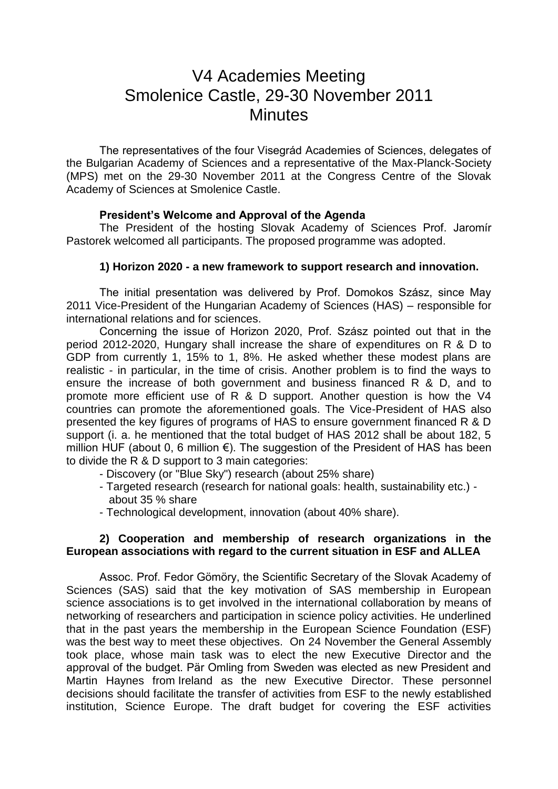# V4 Academies Meeting Smolenice Castle, 29-30 November 2011 **Minutes**

The representatives of the four Visegrád Academies of Sciences, delegates of the Bulgarian Academy of Sciences and a representative of the Max-Planck-Society (MPS) met on the 29-30 November 2011 at the Congress Centre of the Slovak Academy of Sciences at Smolenice Castle.

## **President's Welcome and Approval of the Agenda**

The President of the hosting Slovak Academy of Sciences Prof. Jaromír Pastorek welcomed all participants. The proposed programme was adopted.

#### **1) Horizon 2020 - a new framework to support research and innovation.**

The initial presentation was delivered by Prof. Domokos Szász, since May 2011 Vice-President of the Hungarian Academy of Sciences (HAS) – responsible for international relations and for sciences.

Concerning the issue of Horizon 2020, Prof. Szász pointed out that in the period 2012-2020, Hungary shall increase the share of expenditures on R & D to GDP from currently 1, 15% to 1, 8%. He asked whether these modest plans are realistic - in particular, in the time of crisis. Another problem is to find the ways to ensure the increase of both government and business financed R & D, and to promote more efficient use of R & D support. Another question is how the V4 countries can promote the aforementioned goals. The Vice-President of HAS also presented the key figures of programs of HAS to ensure government financed R & D support (i. a. he mentioned that the total budget of HAS 2012 shall be about 182, 5 million HUF (about 0, 6 million €). The suggestion of the President of HAS has been to divide the R & D support to 3 main categories:

- Discovery (or "Blue Sky") research (about 25% share)

- Targeted research (research for national goals: health, sustainability etc.) about 35 % share
- Technological development, innovation (about 40% share).

#### **2) Cooperation and membership of research organizations in the European associations with regard to the current situation in ESF and ALLEA**

Assoc. Prof. Fedor Gömöry, the Scientific Secretary of the Slovak Academy of Sciences (SAS) said that the key motivation of SAS membership in European science associations is to get involved in the international collaboration by means of networking of researchers and participation in science policy activities. He underlined that in the past years the membership in the European Science Foundation (ESF) was the best way to meet these objectives. On 24 November the General Assembly took place, whose main task was to elect the new Executive Director and the approval of the budget. Pär Omling from Sweden was elected as new President and Martin Haynes from Ireland as the new Executive Director. These personnel decisions should facilitate the transfer of activities from ESF to the newly established institution, Science Europe. The draft budget for covering the ESF activities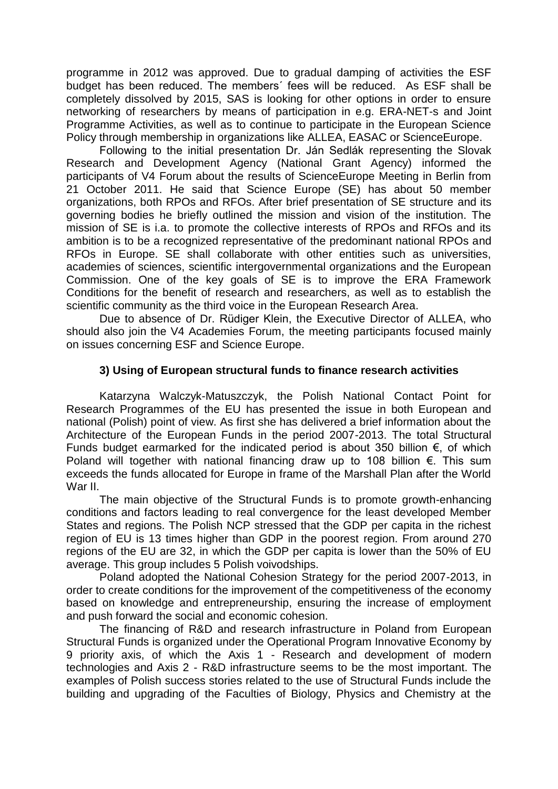programme in 2012 was approved. Due to gradual damping of activities the ESF budget has been reduced. The members´ fees will be reduced. As ESF shall be completely dissolved by 2015, SAS is looking for other options in order to ensure networking of researchers by means of participation in e.g. ERA-NET-s and Joint Programme Activities, as well as to continue to participate in the European Science Policy through membership in organizations like ALLEA, EASAC or ScienceEurope.

Following to the initial presentation Dr. Ján Sedlák representing the Slovak Research and Development Agency (National Grant Agency) informed the participants of V4 Forum about the results of ScienceEurope Meeting in Berlin from 21 October 2011. He said that Science Europe (SE) has about 50 member organizations, both RPOs and RFOs. After brief presentation of SE structure and its governing bodies he briefly outlined the mission and vision of the institution. The mission of SE is i.a. to promote the collective interests of RPOs and RFOs and its ambition is to be a recognized representative of the predominant national RPOs and RFOs in Europe. SE shall collaborate with other entities such as universities, academies of sciences, scientific intergovernmental organizations and the European Commission. One of the key goals of SE is to improve the ERA Framework Conditions for the benefit of research and researchers, as well as to establish the scientific community as the third voice in the European Research Area.

Due to absence of Dr. Rüdiger Klein, the Executive Director of ALLEA, who should also join the V4 Academies Forum, the meeting participants focused mainly on issues concerning ESF and Science Europe.

## **3) Using of European structural funds to finance research activities**

Katarzyna Walczyk-Matuszczyk, the Polish National Contact Point for Research Programmes of the EU has presented the issue in both European and national (Polish) point of view. As first she has delivered a brief information about the Architecture of the European Funds in the period 2007-2013. The total Structural Funds budget earmarked for the indicated period is about 350 billion  $\epsilon$ , of which Poland will together with national financing draw up to 108 billion €. This sum exceeds the funds allocated for Europe in frame of the Marshall Plan after the World War II.

The main objective of the Structural Funds is to promote growth-enhancing conditions and factors leading to real convergence for the least developed Member States and regions. The Polish NCP stressed that the GDP per capita in the richest region of EU is 13 times higher than GDP in the poorest region. From around 270 regions of the EU are 32, in which the GDP per capita is lower than the 50% of EU average. This group includes 5 Polish voivodships.

Poland adopted the National Cohesion Strategy for the period 2007-2013, in order to create conditions for the improvement of the competitiveness of the economy based on knowledge and entrepreneurship, ensuring the increase of employment and push forward the social and economic cohesion.

The financing of R&D and research infrastructure in Poland from European Structural Funds is organized under the Operational Program Innovative Economy by 9 priority axis, of which the Axis 1 - Research and development of modern technologies and Axis 2 - R&D infrastructure seems to be the most important. The examples of Polish success stories related to the use of Structural Funds include the building and upgrading of the Faculties of Biology, Physics and Chemistry at the